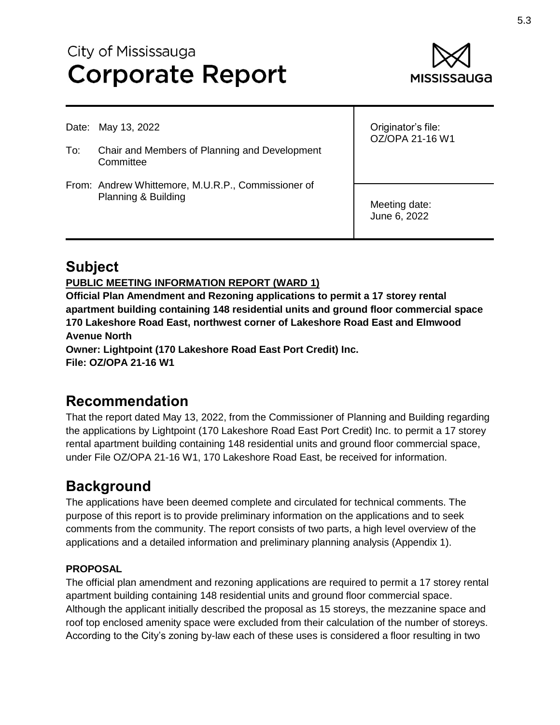# City of Mississauga **Corporate Report**



Date: May 13, 2022

- To: Chair and Members of Planning and Development **Committee**
- From: Andrew Whittemore, M.U.R.P., Commissioner of Planning & Building

Originator's file: OZ/OPA 21-16 W1

Meeting date: June 6, 2022

## **Subject**

#### **PUBLIC MEETING INFORMATION REPORT (WARD 1)**

**Official Plan Amendment and Rezoning applications to permit a 17 storey rental apartment building containing 148 residential units and ground floor commercial space 170 Lakeshore Road East, northwest corner of Lakeshore Road East and Elmwood Avenue North Owner: Lightpoint (170 Lakeshore Road East Port Credit) Inc. File: OZ/OPA 21-16 W1**

## **Recommendation**

That the report dated May 13, 2022, from the Commissioner of Planning and Building regarding the applications by Lightpoint (170 Lakeshore Road East Port Credit) Inc. to permit a 17 storey rental apartment building containing 148 residential units and ground floor commercial space, under File OZ/OPA 21-16 W1, 170 Lakeshore Road East, be received for information.

## **Background**

The applications have been deemed complete and circulated for technical comments. The purpose of this report is to provide preliminary information on the applications and to seek comments from the community. The report consists of two parts, a high level overview of the applications and a detailed information and preliminary planning analysis (Appendix 1).

### **PROPOSAL**

The official plan amendment and rezoning applications are required to permit a 17 storey rental apartment building containing 148 residential units and ground floor commercial space. Although the applicant initially described the proposal as 15 storeys, the mezzanine space and roof top enclosed amenity space were excluded from their calculation of the number of storeys. According to the City's zoning by-law each of these uses is considered a floor resulting in two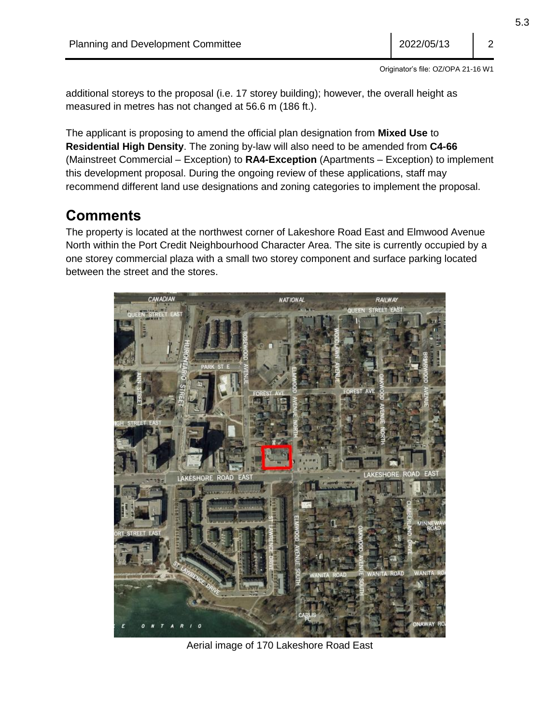5.3

Originator's file: OZ/OPA 21-16 W1

additional storeys to the proposal (i.e. 17 storey building); however, the overall height as measured in metres has not changed at 56.6 m (186 ft.).

The applicant is proposing to amend the official plan designation from **Mixed Use** to **Residential High Density**. The zoning by-law will also need to be amended from **C4-66**  (Mainstreet Commercial – Exception) to **RA4-Exception** (Apartments – Exception) to implement this development proposal. During the ongoing review of these applications, staff may recommend different land use designations and zoning categories to implement the proposal.

## **Comments**

The property is located at the northwest corner of Lakeshore Road East and Elmwood Avenue North within the Port Credit Neighbourhood Character Area. The site is currently occupied by a one storey commercial plaza with a small two storey component and surface parking located between the street and the stores.



Aerial image of 170 Lakeshore Road East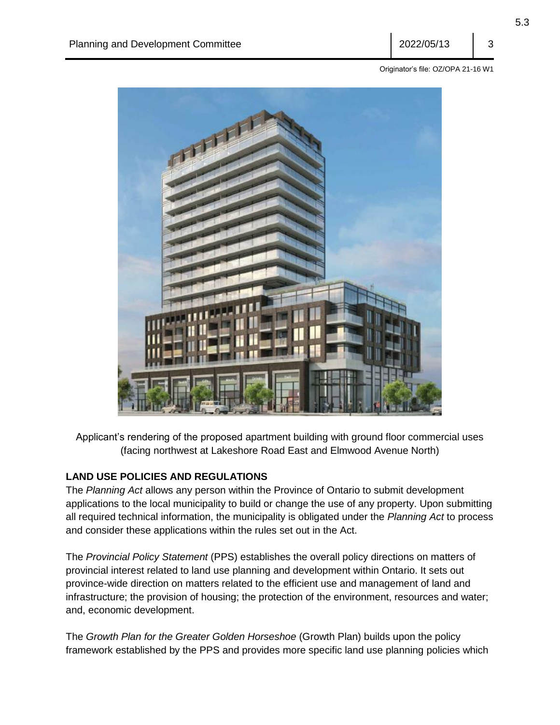Originator's file: OZ/OPA 21-16 W1



Applicant's rendering of the proposed apartment building with ground floor commercial uses (facing northwest at Lakeshore Road East and Elmwood Avenue North)

### **LAND USE POLICIES AND REGULATIONS**

The *Planning Act* allows any person within the Province of Ontario to submit development applications to the local municipality to build or change the use of any property. Upon submitting all required technical information, the municipality is obligated under the *Planning Act* to process and consider these applications within the rules set out in the Act.

The *Provincial Policy Statement* (PPS) establishes the overall policy directions on matters of provincial interest related to land use planning and development within Ontario. It sets out province-wide direction on matters related to the efficient use and management of land and infrastructure; the provision of housing; the protection of the environment, resources and water; and, economic development.

The *Growth Plan for the Greater Golden Horseshoe* (Growth Plan) builds upon the policy framework established by the PPS and provides more specific land use planning policies which